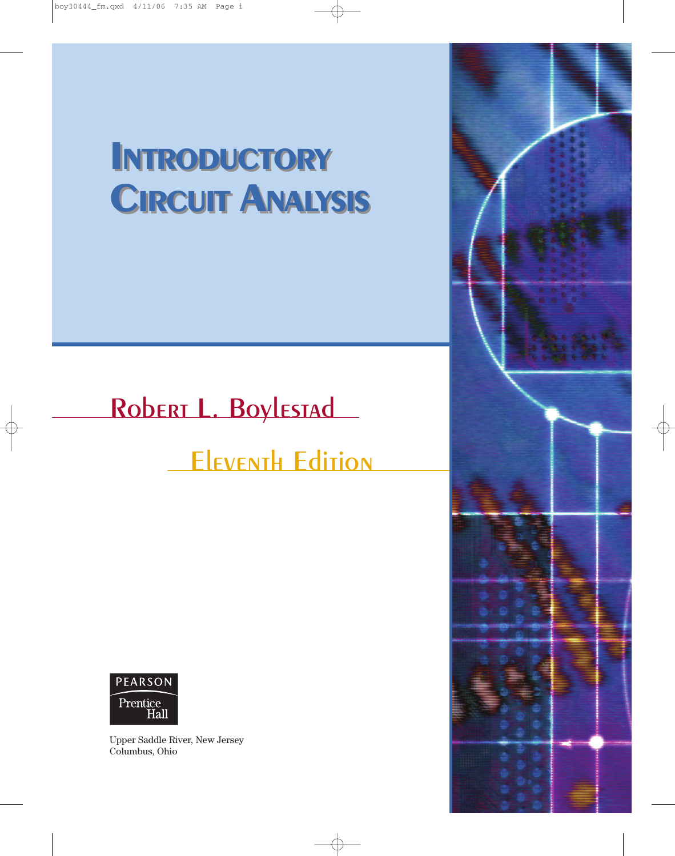## **INTRODUCTORY INTRODUCTORY CIRCUIT ANALYSIS CIRCUIT ANALYSIS**

## Robert L. Boylestad

## Eleventh Edition



Upper Saddle River, New Jersey Columbus, Ohio

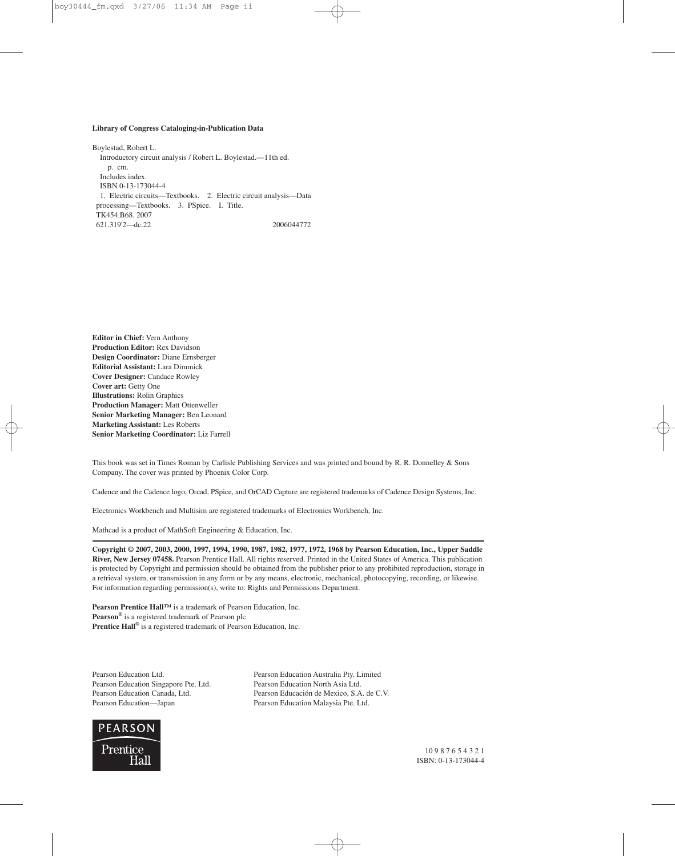## **Library of Congress Cataloging-in-Publication Data**

Boylestad, Robert L. Introductory circuit analysis / Robert L. Boylestad.—11th ed. p. cm. Includes index. ISBN 0-13-173044-4 1. Electric circuits—Textbooks. 2. Electric circuit analysis—Data processing—Textbooks. 3. PSpice. I. Title. TK454.B68. 2007 621.319'2—dc.22 2006044772

**Editor in Chief:** Vern Anthony **Production Editor:** Rex Davidson **Design Coordinator:** Diane Ernsberger **Editorial Assistant:** Lara Dimmick **Cover Designer:** Candace Rowley **Cover art:** Getty One **Illustrations:** Rolin Graphics **Production Manager:** Matt Ottenweller **Senior Marketing Manager:** Ben Leonard **Marketing Assistant:** Les Roberts **Senior Marketing Coordinator:** Liz Farrell

This book was set in Times Roman by Carlisle Publishing Services and was printed and bound by R. R. Donnelley & Sons Company. The cover was printed by Phoenix Color Corp.

Cadence and the Cadence logo, Orcad, PSpice, and OrCAD Capture are registered trademarks of Cadence Design Systems, Inc.

Electronics Workbench and Multisim are registered trademarks of Electronics Workbench, Inc.

Mathcad is a product of MathSoft Engineering & Education, Inc.

**Copyright © 2007, 2003, 2000, 1997, 1994, 1990, 1987, 1982, 1977, 1972, 1968 by Pearson Education, Inc., Upper Saddle River, New Jersey 07458.** Pearson Prentice Hall. All rights reserved. Printed in the United States of America. This publication is protected by Copyright and permission should be obtained from the publisher prior to any prohibited reproduction, storage in a retrieval system, or transmission in any form or by any means, electronic, mechanical, photocopying, recording, or likewise. For information regarding permission(s), write to: Rights and Permissions Department.

**Pearson Prentice Hall™** is a trademark of Pearson Education, Inc. **Pearson®** is a registered trademark of Pearson plc **Prentice Hall®** is a registered trademark of Pearson Education, Inc.

Pearson Education Singapore Pte. Ltd. Pearson Education North Asia Ltd.

Pearson Education Ltd. Pearson Education Australia Pty. Limited Pearson Education Canada, Ltd. Pearson Educación de Mexico, S.A. de C.V. Pearson Education—Japan Pearson Education Malaysia Pte. Ltd.



10 9 8 7 6 5 4 3 2 1 ISBN: 0-13-173044-4